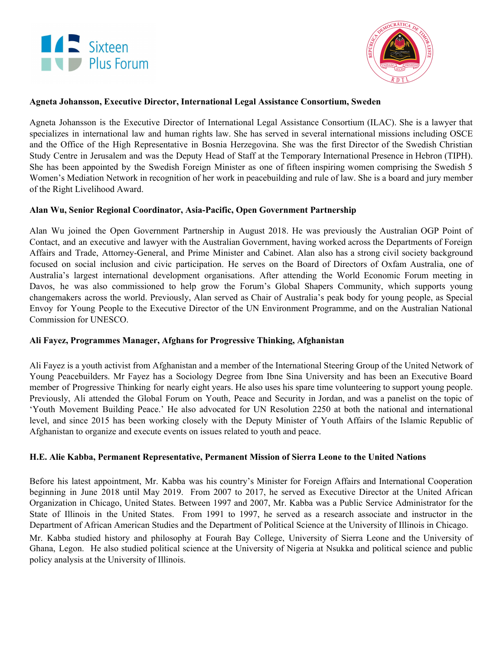



# **Agneta Johansson, Executive Director, International Legal Assistance Consortium, Sweden**

Agneta Johansson is the Executive Director of International Legal Assistance Consortium (ILAC). She is a lawyer that specializes in international law and human rights law. She has served in several international missions including OSCE and the Office of the High Representative in Bosnia Herzegovina. She was the first Director of the Swedish Christian Study Centre in Jerusalem and was the Deputy Head of Staff at the Temporary International Presence in Hebron (TIPH). She has been appointed by the Swedish Foreign Minister as one of fifteen inspiring women comprising the Swedish 5 Women's Mediation Network in recognition of her work in peacebuilding and rule of law. She is a board and jury member of the Right Livelihood Award.

#### **Alan Wu, Senior Regional Coordinator, Asia-Pacific, Open Government Partnership**

Alan Wu joined the Open Government Partnership in August 2018. He was previously the Australian OGP Point of Contact, and an executive and lawyer with the Australian Government, having worked across the Departments of Foreign Affairs and Trade, Attorney-General, and Prime Minister and Cabinet. Alan also has a strong civil society background focused on social inclusion and civic participation. He serves on the Board of Directors of Oxfam Australia, one of Australia's largest international development organisations. After attending the World Economic Forum meeting in Davos, he was also commissioned to help grow the Forum's Global Shapers Community, which supports young changemakers across the world. Previously, Alan served as Chair of Australia's peak body for young people, as Special Envoy for Young People to the Executive Director of the UN Environment Programme, and on the Australian National Commission for UNESCO.

# **Ali Fayez, Programmes Manager, Afghans for Progressive Thinking, Afghanistan**

Ali Fayez is a youth activist from Afghanistan and a member of the International Steering Group of the United Network of Young Peacebuilders. Mr Fayez has a Sociology Degree from Ibne Sina University and has been an Executive Board member of Progressive Thinking for nearly eight years. He also uses his spare time volunteering to support young people. Previously, Ali attended the Global Forum on Youth, Peace and Security in Jordan, and was a panelist on the topic of 'Youth Movement Building Peace.' He also advocated for UN Resolution 2250 at both the national and international level, and since 2015 has been working closely with the Deputy Minister of Youth Affairs of the Islamic Republic of Afghanistan to organize and execute events on issues related to youth and peace.

#### **H.E. Alie Kabba, Permanent Representative, Permanent Mission of Sierra Leone to the United Nations**

Before his latest appointment, Mr. Kabba was his country's Minister for Foreign Affairs and International Cooperation beginning in June 2018 until May 2019. From 2007 to 2017, he served as Executive Director at the United African Organization in Chicago, United States. Between 1997 and 2007, Mr. Kabba was a Public Service Administrator for the State of Illinois in the United States. From 1991 to 1997, he served as a research associate and instructor in the Department of African American Studies and the Department of Political Science at the University of Illinois in Chicago.

Mr. Kabba studied history and philosophy at Fourah Bay College, University of Sierra Leone and the University of Ghana, Legon. He also studied political science at the University of Nigeria at Nsukka and political science and public policy analysis at the University of Illinois.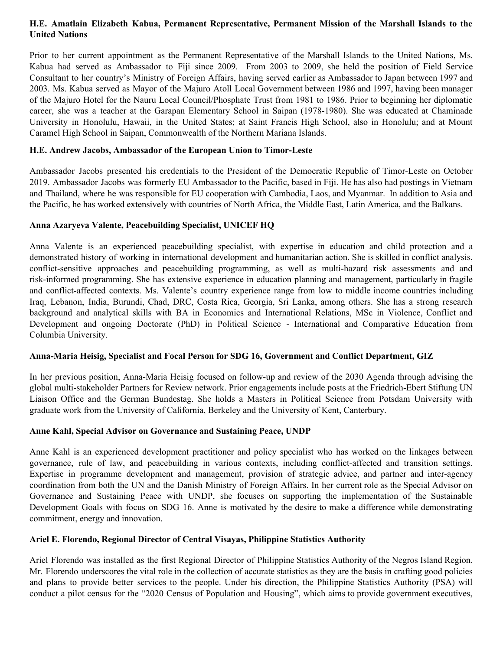# **H.E. Amatlain Elizabeth Kabua, Permanent Representative, Permanent Mission of the Marshall Islands to the United Nations**

Prior to her current appointment as the Permanent Representative of the Marshall Islands to the United Nations, Ms. Kabua had served as Ambassador to Fiji since 2009. From 2003 to 2009, she held the position of Field Service Consultant to her country's Ministry of Foreign Affairs, having served earlier as Ambassador to Japan between 1997 and 2003. Ms. Kabua served as Mayor of the Majuro Atoll Local Government between 1986 and 1997, having been manager of the Majuro Hotel for the Nauru Local Council/Phosphate Trust from 1981 to 1986. Prior to beginning her diplomatic career, she was a teacher at the Garapan Elementary School in Saipan (1978-1980). She was educated at Chaminade University in Honolulu, Hawaii, in the United States; at Saint Francis High School, also in Honolulu; and at Mount Caramel High School in Saipan, Commonwealth of the Northern Mariana Islands.

# **H.E. Andrew Jacobs, Ambassador of the European Union to Timor-Leste**

Ambassador Jacobs presented his credentials to the President of the Democratic Republic of Timor-Leste on October 2019. Ambassador Jacobs was formerly EU Ambassador to the Pacific, based in Fiji. He has also had postings in Vietnam and Thailand, where he was responsible for EU cooperation with Cambodia, Laos, and Myanmar. In addition to Asia and the Pacific, he has worked extensively with countries of North Africa, the Middle East, Latin America, and the Balkans.

# **Anna Azaryeva Valente, Peacebuilding Specialist, UNICEF HQ**

Anna Valente is an experienced peacebuilding specialist, with expertise in education and child protection and a demonstrated history of working in international development and humanitarian action. She is skilled in conflict analysis, conflict-sensitive approaches and peacebuilding programming, as well as multi-hazard risk assessments and and risk-informed programming. She has extensive experience in education planning and management, particularly in fragile and conflict-affected contexts. Ms. Valente's country experience range from low to middle income countries including Iraq, Lebanon, India, Burundi, Chad, DRC, Costa Rica, Georgia, Sri Lanka, among others. She has a strong research background and analytical skills with BA in Economics and International Relations, MSc in Violence, Conflict and Development and ongoing Doctorate (PhD) in Political Science - International and Comparative Education from Columbia University.

# **Anna-Maria Heisig, Specialist and Focal Person for SDG 16, Government and Conflict Department, GIZ**

In her previous position, Anna-Maria Heisig focused on follow-up and review of the 2030 Agenda through advising the global multi-stakeholder Partners for Review network. Prior engagements include posts at the Friedrich-Ebert Stiftung UN Liaison Office and the German Bundestag. She holds a Masters in Political Science from Potsdam University with graduate work from the University of California, Berkeley and the University of Kent, Canterbury.

# **Anne Kahl, Special Advisor on Governance and Sustaining Peace, UNDP**

Anne Kahl is an experienced development practitioner and policy specialist who has worked on the linkages between governance, rule of law, and peacebuilding in various contexts, including conflict-affected and transition settings. Expertise in programme development and management, provision of strategic advice, and partner and inter-agency coordination from both the UN and the Danish Ministry of Foreign Affairs. In her current role as the Special Advisor on Governance and Sustaining Peace with UNDP, she focuses on supporting the implementation of the Sustainable Development Goals with focus on SDG 16. Anne is motivated by the desire to make a difference while demonstrating commitment, energy and innovation.

# **Ariel E. Florendo, Regional Director of Central Visayas, Philippine Statistics Authority**

Ariel Florendo was installed as the first Regional Director of Philippine Statistics Authority of the Negros Island Region. Mr. Florendo underscores the vital role in the collection of accurate statistics as they are the basis in crafting good policies and plans to provide better services to the people. Under his direction, the Philippine Statistics Authority (PSA) will conduct a pilot census for the "2020 Census of Population and Housing", which aims to provide government executives,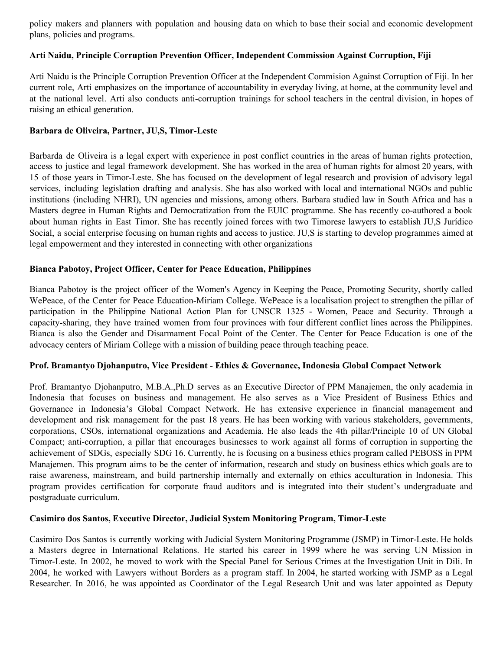policy makers and planners with population and housing data on which to base their social and economic development plans, policies and programs.

## **Arti Naidu, Principle Corruption Prevention Officer, Independent Commission Against Corruption, Fiji**

Arti Naidu is the Principle Corruption Prevention Officer at the Independent Commision Against Corruption of Fiji. In her current role, Arti emphasizes on the importance of accountability in everyday living, at home, at the community level and at the national level. Arti also conducts anti-corruption trainings for school teachers in the central division, in hopes of raising an ethical generation.

### **Barbara de Oliveira, Partner, JU,S, Timor-Leste**

Barbarda de Oliveira is a legal expert with experience in post conflict countries in the areas of human rights protection, access to justice and legal framework development. She has worked in the area of human rights for almost 20 years, with 15 of those years in Timor-Leste. She has focused on the development of legal research and provision of advisory legal services, including legislation drafting and analysis. She has also worked with local and international NGOs and public institutions (including NHRI), UN agencies and missions, among others. Barbara studied law in South Africa and has a Masters degree in Human Rights and Democratization from the EUIC programme. She has recently co-authored a book about human rights in East Timor. She has recently joined forces with two Timorese lawyers to establish JU,S Jurídico Social, a social enterprise focusing on human rights and access to justice. JU,S is starting to develop programmes aimed at legal empowerment and they interested in connecting with other organizations

## **Bianca Pabotoy, Project Officer, Center for Peace Education, Philippines**

Bianca Pabotoy is the project officer of the Women's Agency in Keeping the Peace, Promoting Security, shortly called WePeace, of the Center for Peace Education-Miriam College. WePeace is a localisation project to strengthen the pillar of participation in the Philippine National Action Plan for UNSCR 1325 - Women, Peace and Security. Through a capacity-sharing, they have trained women from four provinces with four different conflict lines across the Philippines. Bianca is also the Gender and Disarmament Focal Point of the Center. The Center for Peace Education is one of the advocacy centers of Miriam College with a mission of building peace through teaching peace.

#### **Prof. Bramantyo Djohanputro, Vice President - Ethics & Governance, Indonesia Global Compact Network**

Prof. Bramantyo Djohanputro, M.B.A.,Ph.D serves as an Executive Director of PPM Manajemen, the only academia in Indonesia that focuses on business and management. He also serves as a Vice President of Business Ethics and Governance in Indonesia's Global Compact Network. He has extensive experience in financial management and development and risk management for the past 18 years. He has been working with various stakeholders, governments, corporations, CSOs, international organizations and Academia. He also leads the 4th pillar/Principle 10 of UN Global Compact; anti-corruption, a pillar that encourages businesses to work against all forms of corruption in supporting the achievement of SDGs, especially SDG 16. Currently, he is focusing on a business ethics program called PEBOSS in PPM Manajemen. This program aims to be the center of information, research and study on business ethics which goals are to raise awareness, mainstream, and build partnership internally and externally on ethics acculturation in Indonesia. This program provides certification for corporate fraud auditors and is integrated into their student's undergraduate and postgraduate curriculum.

#### **Casimiro dos Santos, Executive Director, Judicial System Monitoring Program, Timor-Leste**

Casimiro Dos Santos is currently working with Judicial System Monitoring Programme (JSMP) in Timor-Leste. He holds a Masters degree in International Relations. He started his career in 1999 where he was serving UN Mission in Timor-Leste. In 2002, he moved to work with the Special Panel for Serious Crimes at the Investigation Unit in Dili. In 2004, he worked with Lawyers without Borders as a program staff. In 2004, he started working with JSMP as a Legal Researcher. In 2016, he was appointed as Coordinator of the Legal Research Unit and was later appointed as Deputy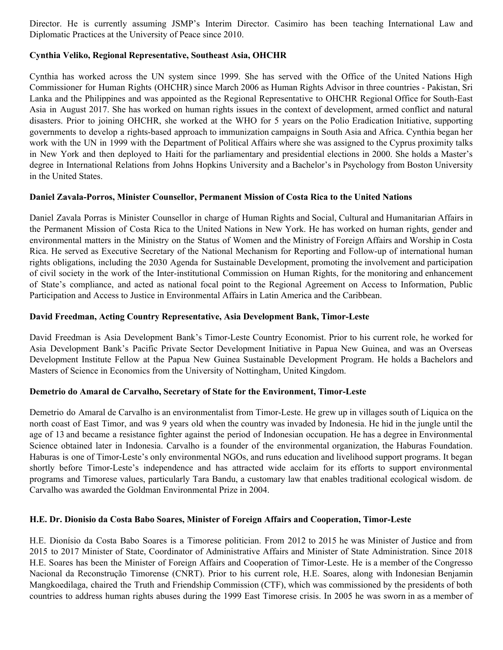Director. He is currently assuming JSMP's Interim Director. Casimiro has been teaching International Law and Diplomatic Practices at the University of Peace since 2010.

# **Cynthia Veliko, Regional Representative, Southeast Asia, OHCHR**

Cynthia has worked across the UN system since 1999. She has served with the Office of the United Nations High Commissioner for Human Rights (OHCHR) since March 2006 as Human Rights Advisor in three countries - Pakistan, Sri Lanka and the Philippines and was appointed as the Regional Representative to OHCHR Regional Office for South-East Asia in August 2017. She has worked on human rights issues in the context of development, armed conflict and natural disasters. Prior to joining OHCHR, she worked at the WHO for 5 years on the Polio Eradication Initiative, supporting governments to develop a rights-based approach to immunization campaigns in South Asia and Africa. Cynthia began her work with the UN in 1999 with the Department of Political Affairs where she was assigned to the Cyprus proximity talks in New York and then deployed to Haiti for the parliamentary and presidential elections in 2000. She holds a Master's degree in International Relations from Johns Hopkins University and a Bachelor's in Psychology from Boston University in the United States.

## **Daniel Zavala-Porros, Minister Counsellor, Permanent Mission of Costa Rica to the United Nations**

Daniel Zavala Porras is Minister Counsellor in charge of Human Rights and Social, Cultural and Humanitarian Affairs in the Permanent Mission of Costa Rica to the United Nations in New York. He has worked on human rights, gender and environmental matters in the Ministry on the Status of Women and the Ministry of Foreign Affairs and Worship in Costa Rica. He served as Executive Secretary of the National Mechanism for Reporting and Follow-up of international human rights obligations, including the 2030 Agenda for Sustainable Development, promoting the involvement and participation of civil society in the work of the Inter-institutional Commission on Human Rights, for the monitoring and enhancement of State's compliance, and acted as national focal point to the Regional Agreement on Access to Information, Public Participation and Access to Justice in Environmental Affairs in Latin America and the Caribbean.

## **David Freedman, Acting Country Representative, Asia Development Bank, Timor-Leste**

David Freedman is Asia Development Bank's Timor-Leste Country Economist. Prior to his current role, he worked for Asia Development Bank's Pacific Private Sector Development Initiative in Papua New Guinea, and was an Overseas Development Institute Fellow at the Papua New Guinea Sustainable Development Program. He holds a Bachelors and Masters of Science in Economics from the University of Nottingham, United Kingdom.

# **Demetrio do Amaral de Carvalho, Secretary of State for the Environment, Timor-Leste**

Demetrio do Amaral de Carvalho is an [environmentalist](https://en.wikipedia.org/wiki/Environmentalist) from Timor-Leste. He grew up in villages south of Liquica on the north coast of East Timor, and was 9 years old when the country was invaded by Indonesia. He hid in the jungle until the age of 13 and became a resistance fighter against the period of Indonesian [occupation.](https://en.wikipedia.org/wiki/Indonesian_occupation_of_East_Timor) He has a degree in Environmental Science obtained later in Indonesia. Carvalho is a founder of the environmental organization, the Haburas Foundation. Haburas is one of Timor-Leste's only environmental NGOs, and runs education and livelihood support programs. It began shortly before Timor-Leste's independence and has attracted wide acclaim for its efforts to support environmental programs and Timorese values, particularly Tara Bandu, a customary law that enables traditional ecological wisdom. de Carvalho was awarded the Goldman [Environmental](https://en.wikipedia.org/wiki/Goldman_Environmental_Prize) Prize in 2004.

#### **H.E. Dr. Dionisio da Costa Babo Soares, Minister of Foreign Affairs and Cooperation, Timor-Leste**

H.E. Dionísio da Costa Babo Soares is a Timorese [politician](https://de.wikipedia.org/wiki/Politiker). From 2012 to 2015 he was Minister of Justice and from 2015 to 2017 Minister of State, Coordinator of Administrative Affairs and Minister of State Administration. Since 2018 H.E. Soares has been the Minister of Foreign Affairs and Cooperation of Timor-Leste. He is a member of the Congresso Nacional da Reconstrução Timorense (CNRT). Prior to his current role, H.E. Soares, along with [Indonesian](https://de.wikipedia.org/wiki/Indonesien) Benjamin Mangkoedilaga, chaired the Truth and Friendship [Commission](https://de.wikipedia.org/wiki/Wahrheits-_und_Freundschaftskommission) (CTF), which was commissioned by the presidents of both countries to address human rights abuses during the 1999 East [Timorese](https://de.wikipedia.org/wiki/Operation_Donner) crisis. In 2005 he was sworn in as a member of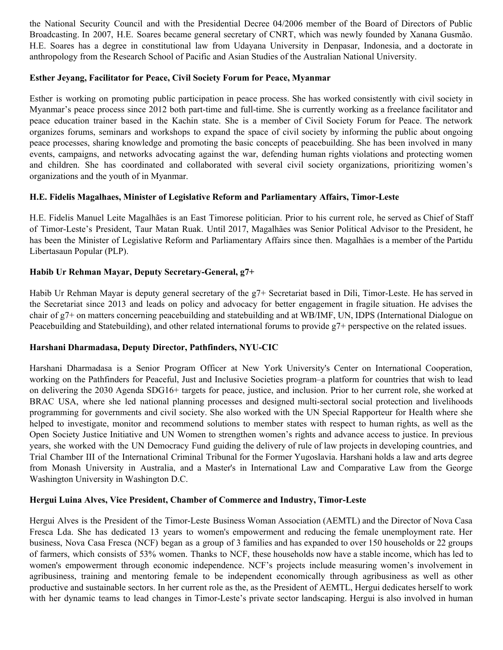the [National](https://de.wikipedia.org/wiki/Konsellu_Superior_Defeza_no_Seguransa) Security Council and with the Presidential Decree 04/2006 member of the Board of Directors of Public Broadcasting. In 2007, H.E. Soares became general secretary of CNRT, which was newly founded by Xanana [Gusmão.](https://de.wikipedia.org/wiki/Xanana_Gusm%C3%A3o) H.E. Soares has a degree in constitutional law from Udayana [University](https://de.wikipedia.org/wiki/Udayana-Universit%C3%A4t) in [Denpasar,](https://de.wikipedia.org/wiki/Denpasar) Indonesia, and a doctorate in [anthropology](https://de.wikipedia.org/wiki/Anthropologie) from the Research School of Pacific and Asian Studies of the Australian National [University.](https://de.wikipedia.org/wiki/Australian_National_University)

## **Esther Jeyang, Facilitator for Peace, Civil Society Forum for Peace, Myanmar**

Esther is working on promoting public participation in peace process. She has worked consistently with civil society in Myanmar's peace process since 2012 both part-time and full-time. She is currently working as a freelance facilitator and peace education trainer based in the Kachin state. She is a member of Civil Society Forum for Peace. The network organizes forums, seminars and workshops to expand the space of civil society by informing the public about ongoing peace processes, sharing knowledge and promoting the basic concepts of peacebuilding. She has been involved in many events, campaigns, and networks advocating against the war, defending human rights violations and protecting women and children. She has coordinated and collaborated with several civil society organizations, prioritizing women's organizations and the youth of in Myanmar.

## **H.E. Fidelis Magalhaes, Minister of Legislative Reform and Parliamentary Affairs, Timor-Leste**

H.E. Fidelis Manuel Leite Magalhães is an East [Timorese](https://de.wikipedia.org/wiki/Osttimor) politician. Prior to his current role, he served as [Chief](https://de.wikipedia.org/wiki/Stabschef) of [Staff](https://de.wikipedia.org/wiki/Stabschef) of Timor-Leste's [President,](https://de.wikipedia.org/wiki/Pr%C3%A4sident_(Osttimor)) Taur [Matan](https://de.wikipedia.org/wiki/Taur_Matan_Ruak) Ruak. Until 2017, Magalhães was Senior Political Advisor to the President, he has been the Minister of Legislative Reform and Parliamentary Affairs since then. Magalhães is a member of the [Partidu](https://de.wikipedia.org/wiki/Partidu_Libertasaun_Popular) [Libertasaun](https://de.wikipedia.org/wiki/Partidu_Libertasaun_Popular) Popular (PLP).

## **Habib Ur Rehman Mayar, Deputy Secretary-General, g7+**

Habib Ur Rehman Mayar is deputy general secretary of the g7+ Secretariat based in Dili, Timor-Leste. He has served in the Secretariat since 2013 and leads on policy and advocacy for better engagement in fragile situation. He advises the chair of g7+ on matters concerning peacebuilding and statebuilding and at WB/IMF, UN, IDPS (International Dialogue on Peacebuilding and Statebuilding), and other related international forums to provide g7+ perspective on the related issues.

# **Harshani Dharmadasa, Deputy Director, Pathfinders, NYU-CIC**

Harshani Dharmadasa is a Senior Program Officer at New York University's Center on International Cooperation, working on the Pathfinders for Peaceful, Just and Inclusive Societies program–a platform for countries that wish to lead on delivering the 2030 Agenda SDG16+ targets for peace, justice, and inclusion. Prior to her current role, she worked at BRAC USA, where she led national planning processes and designed multi-sectoral social protection and livelihoods programming for governments and civil society. She also worked with the UN Special Rapporteur for Health where she helped to investigate, monitor and recommend solutions to member states with respect to human rights, as well as the Open Society Justice Initiative and UN Women to strengthen women's rights and advance access to justice. In previous years, she worked with the UN Democracy Fund guiding the delivery of rule of law projects in developing countries, and Trial Chamber III of the International Criminal Tribunal for the Former Yugoslavia. Harshani holds a law and arts degree from Monash University in Australia, and a Master's in International Law and Comparative Law from the George Washington University in Washington D.C.

#### **Hergui Luina Alves, Vice President, Chamber of Commerce and Industry, Timor-Leste**

Hergui Alves is the President of the Timor-Leste Business Woman Association (AEMTL) and the Director of Nova Casa Fresca Lda. She has dedicated 13 years to women's empowerment and reducing the female unemployment rate. Her business, Nova Casa Fresca (NCF) began as a group of 3 families and has expanded to over 150 households or 22 groups of farmers, which consists of 53% women. Thanks to NCF, these households now have a stable income, which has led to women's empowerment through economic independence. NCF's projects include measuring women's involvement in agribusiness, training and mentoring female to be independent economically through agribusiness as well as other productive and sustainable sectors. In her current role as the, as the President of AEMTL, Hergui dedicates herself to work with her dynamic teams to lead changes in Timor-Leste's private sector landscaping. Hergui is also involved in human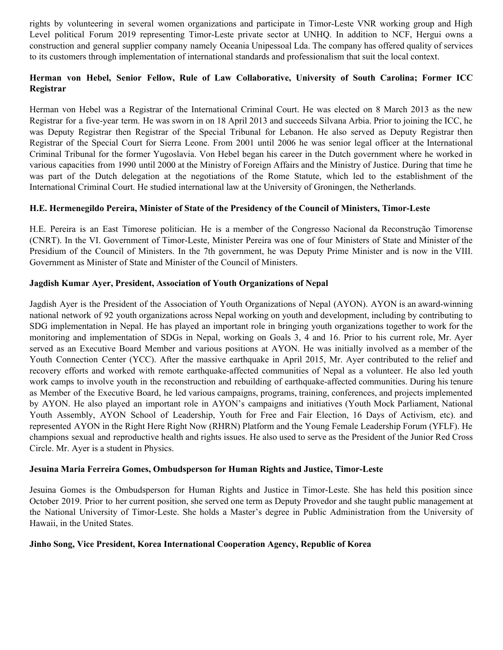rights by volunteering in several women organizations and participate in Timor-Leste VNR working group and High Level political Forum 2019 representing Timor-Leste private sector at UNHQ. In addition to NCF, Hergui owns a construction and general supplier company namely Oceania Unipessoal Lda. The company has offered quality of services to its customers through implementation of international standards and professionalism that suit the local context.

# **Herman von Hebel, Senior Fellow, Rule of Law Collaborative, University of South Carolina; Former ICC Registrar**

Herman von Hebel was a Registrar of the International Criminal Court. He was elected on 8 March 2013 as the new Registrar for a five-year term. He was sworn in on 18 April 2013 and succeeds Silvana Arbia. Prior to joining the ICC, he was Deputy Registrar then Registrar of the Special Tribunal for Lebanon. He also served as Deputy Registrar then Registrar of the Special Court for Sierra Leone. From 2001 until 2006 he was senior legal officer at the International Criminal Tribunal for the former Yugoslavia. Von Hebel began his career in the Dutch government where he worked in various capacities from 1990 until 2000 at the Ministry of Foreign Affairs and the Ministry of Justice. During that time he was part of the Dutch delegation at the negotiations of the Rome Statute, which led to the establishment of the International Criminal Court. He studied international law at the University of Groningen, the Netherlands.

# **H.E. Hermenegildo Pereira, Minister of State of the Presidency of the Council of Ministers, Timor-Leste**

H.E. Pereira is an East [Timorese](https://de.wikipedia.org/wiki/Osttimor) politician. He is a member of the Congresso Nacional da [Reconstrução](https://de.wikipedia.org/wiki/Congresso_Nacional_da_Reconstru%C3%A7%C3%A3o_Timorense) Timorense (CNRT). In the VI. [Government](https://de.wikipedia.org/wiki/VI._konstitutionelle_Regierung_Osttimors) of Timor-Leste, Minister Pereira was one of four Ministers of State and Minister of the Presidium of the Council of Ministers. In the 7th [government,](https://de.wikipedia.org/wiki/VII._konstitutionelle_Regierung_Osttimors) he was Deputy Prime Minister and is now in the [VIII.](https://de.wikipedia.org/wiki/VIII._konstitutionelle_Regierung_Osttimors) [Government](https://de.wikipedia.org/wiki/VIII._konstitutionelle_Regierung_Osttimors) as Minister of State and Minister of the Council of Ministers.

## **Jagdish Kumar Ayer, President, Association of Youth Organizations of Nepal**

Jagdish Ayer is the President of the Association of Youth Organizations of Nepal (AYON). AYON is an award-winning national network of 92 youth organizations across Nepal working on youth and development, including by contributing to SDG implementation in Nepal. He has played an important role in bringing youth organizations together to work for the monitoring and implementation of SDGs in Nepal, working on Goals 3, 4 and 16. Prior to his current role, Mr. Ayer served as an Executive Board Member and various positions at AYON. He was initially involved as a member of the Youth Connection Center (YCC). After the massive earthquake in April 2015, Mr. Ayer contributed to the relief and recovery efforts and worked with remote earthquake-affected communities of Nepal as a volunteer. He also led youth work camps to involve youth in the reconstruction and rebuilding of earthquake-affected communities. During his tenure as Member of the Executive Board, he led various campaigns, programs, training, conferences, and projects implemented by AYON. He also played an important role in AYON's campaigns and initiatives (Youth Mock Parliament, National Youth Assembly, AYON School of Leadership, Youth for Free and Fair Election, 16 Days of Activism, etc). and represented AYON in the Right Here Right Now (RHRN) Platform and the Young Female Leadership Forum (YFLF). He champions sexual and reproductive health and rights issues. He also used to serve as the President of the Junior Red Cross Circle. Mr. Ayer is a student in Physics.

# **Jesuina Maria Ferreira Gomes, Ombudsperson for Human Rights and Justice, Timor-Leste**

Jesuina Gomes is the Ombudsperson for Human Rights and Justice in Timor-Leste. She has held this position since October 2019. Prior to her current position, she served one term as Deputy Provedor and she taught public management at the National University of Timor-Leste. She holds a Master's degree in Public Administration from the University of Hawaii, in the United States.

#### **Jinho Song, Vice President, Korea International Cooperation Agency, Republic of Korea**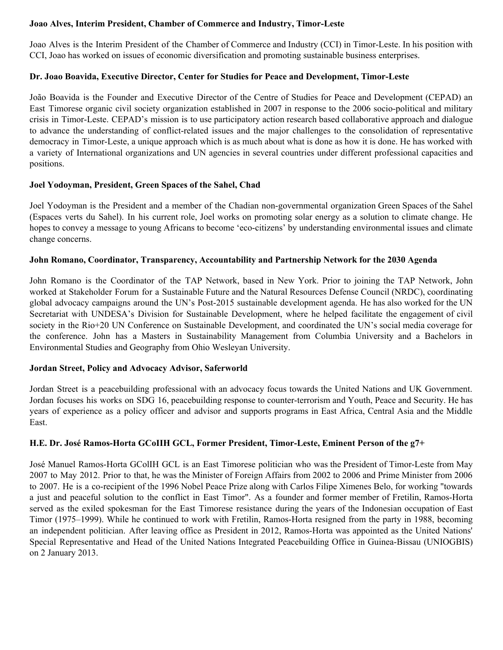## **Joao Alves, Interim President, Chamber of Commerce and Industry, Timor-Leste**

Joao Alves is the Interim President of the Chamber of Commerce and Industry (CCI) in Timor-Leste. In his position with CCI, Joao has worked on issues of economic diversification and promoting sustainable business enterprises.

# **Dr. Joao Boavida, Executive Director, Center for Studies for Peace and Development, Timor-Leste**

João Boavida is the Founder and Executive Director of the Centre of Studies for Peace and Development (CEPAD) an East Timorese organic civil society organization established in 2007 in response to the 2006 socio-political and military crisis in Timor-Leste. CEPAD's mission is to use participatory action research based collaborative approach and dialogue to advance the understanding of conflict-related issues and the major challenges to the consolidation of representative democracy in Timor-Leste, a unique approach which is as much about what is done as how it is done. He has worked with a variety of International organizations and UN agencies in several countries under different professional capacities and positions.

## **Joel Yodoyman, President, Green Spaces of the Sahel, Chad**

Joel Yodoyman is the President and a member of the Chadian non-governmental organization Green Spaces of the Sahel (Espaces verts du Sahel). In his current role, Joel works on promoting solar energy as a solution to climate change. He hopes to convey a message to young Africans to become 'eco-citizens' by understanding environmental issues and climate change concerns.

## **John Romano, Coordinator, Transparency, Accountability and Partnership Network for the 2030 Agenda**

John Romano is the Coordinator of the TAP Network, based in New York. Prior to joining the TAP Network, John worked at Stakeholder Forum for a Sustainable Future and the Natural Resources Defense Council (NRDC), coordinating global advocacy campaigns around the UN's Post-2015 sustainable development agenda. He has also worked for the UN Secretariat with UNDESA's Division for Sustainable Development, where he helped facilitate the engagement of civil society in the Rio+20 UN Conference on Sustainable Development, and coordinated the UN's social media coverage for the conference. John has a Masters in Sustainability Management from Columbia University and a Bachelors in Environmental Studies and Geography from Ohio Wesleyan University.

# **Jordan Street, Policy and Advocacy Advisor, Saferworld**

Jordan Street is a peacebuilding professional with an advocacy focus towards the United Nations and UK Government. Jordan focuses his works on SDG 16, peacebuilding response to counter-terrorism and Youth, Peace and Security. He has years of experience as a policy officer and advisor and supports programs in East Africa, Central Asia and the Middle East.

#### **H.E. Dr. José Ramos-Horta GCoIIH GCL, Former President, Timor-Leste, Eminent Person of the g7+**

José Manuel Ramos-Horta [GColIH](https://en.wikipedia.org/wiki/Order_of_Prince_Henry) [GCL](https://en.wikipedia.org/wiki/Order_of_Liberty) is an East [Timorese](https://en.wikipedia.org/wiki/East_Timor) politician who was the [President](https://en.wikipedia.org/wiki/President_of_East_Timor) of Timor-Leste from May 2007 to May 2012. Prior to that, he was the Minister of Foreign Affairs from 2002 to 2006 and Prime [Minister](https://en.wikipedia.org/wiki/Prime_Minister_of_East_Timor) from 2006 to 2007. He is a co-recipient of the 1996 [Nobel](https://en.wikipedia.org/wiki/Nobel_Peace_Prize) Peace Prize along with Carlos Filipe [Ximenes](https://en.wikipedia.org/wiki/Carlos_Filipe_Ximenes_Belo) Belo, for working "towards a just and peaceful solution to the conflict in East Timor". As a founder and former member of [Fretilin](https://en.wikipedia.org/wiki/Fretilin), Ramos-Horta served as the exiled spokesman for the East Timorese resistance during the years of the Indonesian [occupation](https://en.wikipedia.org/wiki/Indonesian_occupation_of_East_Timor) of East [Timor](https://en.wikipedia.org/wiki/Indonesian_occupation_of_East_Timor) (1975–1999). While he continued to work with Fretilin, Ramos-Horta resigned from the party in 1988, becoming an [independent](https://en.wikipedia.org/wiki/Independent_(politician)) politician. After leaving office as President in 2012, Ramos-Horta was appointed as the United [Nations](https://en.wikipedia.org/wiki/United_Nations)' Special Representative and Head of the United Nations Integrated Peacebuilding Office in [Guinea-Bissau](https://en.wikipedia.org/wiki/United_Nations_Integrated_Peacebuilding_Office_in_Guinea-Bissau) (UNIOGBIS) on 2 January 2013.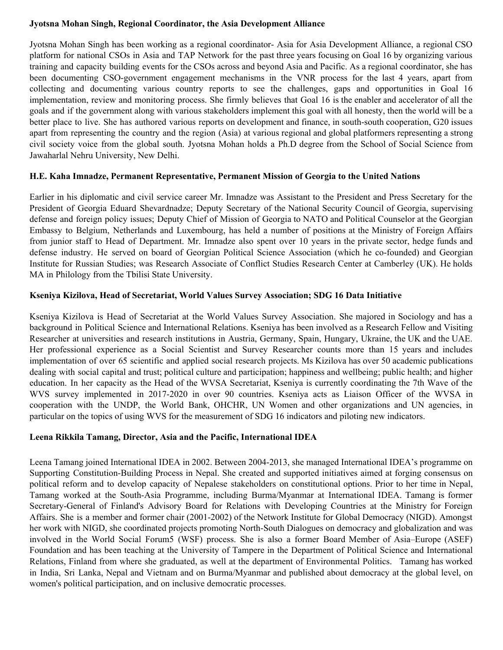### **Jyotsna Mohan Singh, Regional Coordinator, the Asia Development Alliance**

Jyotsna Mohan Singh has been working as a regional coordinator- Asia for Asia Development Alliance, a regional CSO platform for national CSOs in Asia and TAP Network for the past three years focusing on Goal 16 by organizing various training and capacity building events for the CSOs across and beyond Asia and Pacific. As a regional coordinator, she has been documenting CSO-government engagement mechanisms in the VNR process for the last 4 years, apart from collecting and documenting various country reports to see the challenges, gaps and opportunities in Goal 16 implementation, review and monitoring process. She firmly believes that Goal 16 is the enabler and accelerator of all the goals and if the government along with various stakeholders implement this goal with all honesty, then the world will be a better place to live. She has authored various reports on development and finance, in south-south cooperation, G20 issues apart from representing the country and the region (Asia) at various regional and global platformers representing a strong civil society voice from the global south. Jyotsna Mohan holds a Ph.D degree from the School of Social Science from Jawaharlal Nehru University, New Delhi.

# **H.E. Kaha Imnadze, Permanent Representative, Permanent Mission of Georgia to the United Nations**

Earlier in his diplomatic and civil service career Mr. Imnadze was Assistant to the President and Press Secretary for the President of Georgia Eduard Shevardnadze; Deputy Secretary of the National Security Council of Georgia, supervising defense and foreign policy issues; Deputy Chief of Mission of Georgia to NATO and Political Counselor at the Georgian Embassy to Belgium, Netherlands and Luxembourg, has held a number of positions at the Ministry of Foreign Affairs from junior staff to Head of Department. Mr. Imnadze also spent over 10 years in the private sector, hedge funds and defense industry. He served on board of Georgian Political Science Association (which he co-founded) and Georgian Institute for Russian Studies; was Research Associate of Conflict Studies Research Center at Camberley (UK). He holds MA in Philology from the Tbilisi State University.

## **Kseniya Kizilova, Head of Secretariat, World Values Survey Association; SDG 16 Data Initiative**

Kseniya Kizilova is Head of Secretariat at the World Values Survey Association. She majored in Sociology and has a background in Political Science and International Relations. Kseniya has been involved as a Research Fellow and Visiting Researcher at universities and research institutions in Austria, Germany, Spain, Hungary, Ukraine, the UK and the UAE. Her professional experience as a Social Scientist and Survey Researcher counts more than 15 years and includes implementation of over 65 scientific and applied social research projects. Ms Kizilova has over 50 academic publications dealing with social capital and trust; political culture and participation; happiness and wellbeing; public health; and higher education. In her capacity as the Head of the WVSA Secretariat, Kseniya is currently coordinating the 7th Wave of the WVS survey implemented in 2017-2020 in over 90 countries. Kseniya acts as Liaison Officer of the WVSA in cooperation with the UNDP, the World Bank, OHCHR, UN Women and other organizations and UN agencies, in particular on the topics of using WVS for the measurement of SDG 16 indicators and piloting new indicators.

#### **Leena Rikkila Tamang, Director, Asia and the Pacific, International IDEA**

Leena Tamang joined International IDEA in 2002. Between 2004-2013, she managed International IDEA's programme on Supporting Constitution-Building Process in Nepal. She created and supported initiatives aimed at forging consensus on political reform and to develop capacity of Nepalese stakeholders on constitutional options. Prior to her time in Nepal, Tamang worked at the South-Asia Programme, including Burma/Myanmar at International IDEA. Tamang is former Secretary-General of Finland's Advisory Board for Relations with Developing Countries at the Ministry for Foreign Affairs. She is a member and former chair (2001-2002) of the Network Institute for Global Democracy (NIGD). Amongst her work with NIGD, she coordinated projects promoting North-South Dialogues on democracy and globalization and was involved in the World Social Forum5 (WSF) process. She is also a former Board Member of Asia–Europe (ASEF) Foundation and has been teaching at the University of Tampere in the Department of Political Science and International Relations, Finland from where she graduated, as well at the department of Environmental Politics. Tamang has worked in India, Sri Lanka, Nepal and Vietnam and on Burma/Myanmar and published about democracy at the global level, on women's political participation, and on inclusive democratic processes.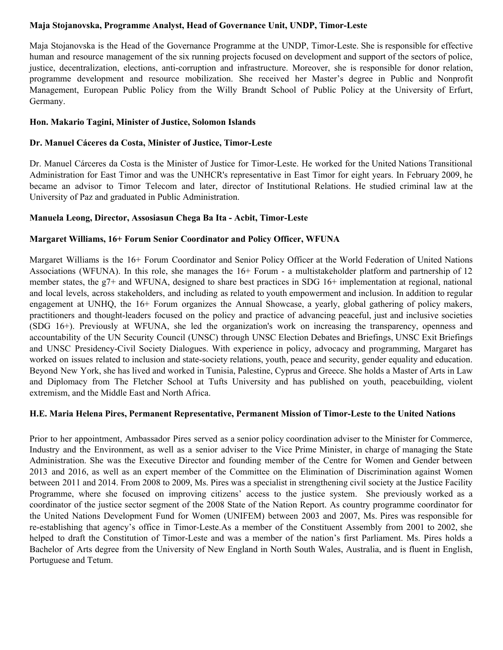# **Maja Stojanovska, Programme Analyst, Head of Governance Unit, UNDP, Timor-Leste**

Maja Stojanovska is the Head of the Governance Programme at the UNDP, Timor-Leste. She is responsible for effective human and resource management of the six running projects focused on development and support of the sectors of police, justice, decentralization, elections, anti-corruption and infrastructure. Moreover, she is responsible for donor relation, programme development and resource mobilization. She received her Master's degree in Public and Nonprofit Management, European Public Policy from the Willy Brandt School of Public Policy at the University of Erfurt, Germany.

## **Hon. Makario Tagini, Minister of Justice, Solomon Islands**

## **Dr. Manuel Cáceres da Costa, Minister of Justice, Timor-Leste**

Dr. Manuel Cárceres da Costa is the Minister of Justice for Timor-Leste. He worked for the United Nations Transitional Administration for East Timor and was the UNHCR's representative in East Timor for eight years. In February 2009, he became an advisor to Timor Telecom and later, director of Institutional Relations. He studied criminal law at the University of Paz and graduated in Public Administration.

## **Manuela Leong, Director, Assosiasun Chega Ba Ita - Acbit, Timor-Leste**

## **Margaret Williams, 16+ Forum Senior Coordinator and Policy Officer, WFUNA**

Margaret Williams is the 16+ Forum Coordinator and Senior Policy Officer at the World Federation of United Nations Associations (WFUNA). In this role, she manages the 16+ Forum - a multistakeholder platform and partnership of 12 member states, the g7+ and WFUNA, designed to share best practices in SDG 16+ implementation at regional, national and local levels, across stakeholders, and including as related to youth empowerment and inclusion. In addition to regular engagement at UNHQ, the 16+ Forum organizes the Annual Showcase, a yearly, global gathering of policy makers, practitioners and thought-leaders focused on the policy and practice of advancing peaceful, just and inclusive societies (SDG 16+). Previously at WFUNA, she led the organization's work on increasing the transparency, openness and accountability of the UN Security Council (UNSC) through UNSC Election Debates and Briefings, UNSC Exit Briefings and UNSC Presidency-Civil Society Dialogues. With experience in policy, advocacy and programming, Margaret has worked on issues related to inclusion and state-society relations, youth, peace and security, gender equality and education. Beyond New York, she has lived and worked in Tunisia, Palestine, Cyprus and Greece. She holds a Master of Arts in Law and Diplomacy from The Fletcher School at Tufts University and has published on youth, peacebuilding, violent extremism, and the Middle East and North Africa.

#### **H.E. Maria Helena Pires, Permanent Representative, Permanent Mission of Timor-Leste to the United Nations**

Prior to her appointment, Ambassador Pires served as a senior policy coordination adviser to the Minister for Commerce, Industry and the Environment, as well as a senior adviser to the Vice Prime Minister, in charge of managing the State Administration. She was the Executive Director and founding member of the Centre for Women and Gender between 2013 and 2016, as well as an expert member of the Committee on the Elimination of Discrimination against Women between 2011 and 2014. From 2008 to 2009, Ms. Pires was a specialist in strengthening civil society at the Justice Facility Programme, where she focused on improving citizens' access to the justice system. She previously worked as a coordinator of the justice sector segment of the 2008 State of the Nation Report. As country programme coordinator for the United Nations Development Fund for Women (UNIFEM) between 2003 and 2007, Ms. Pires was responsible for re-establishing that agency's office in Timor-Leste.As a member of the Constituent Assembly from 2001 to 2002, she helped to draft the Constitution of Timor-Leste and was a member of the nation's first Parliament. Ms. Pires holds a Bachelor of Arts degree from the University of New England in North South Wales, Australia, and is fluent in English, Portuguese and Tetum.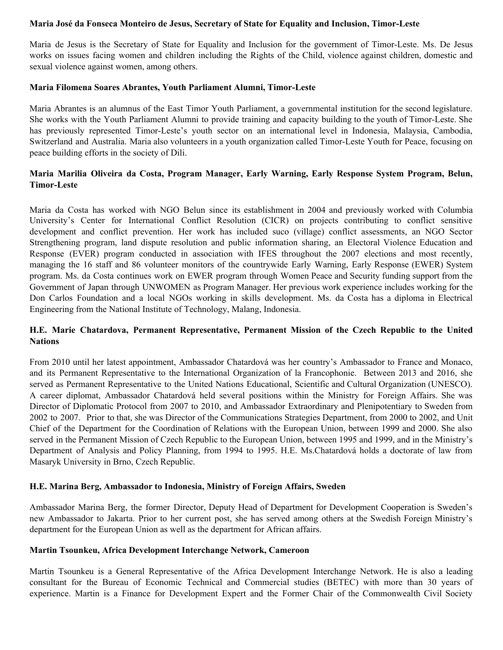#### **Maria José da Fonseca Monteiro de Jesus, Secretary of State for Equality and Inclusion, Timor-Leste**

Maria de Jesus is the Secretary of State for Equality and Inclusion for the government of Timor-Leste. Ms. De Jesus works on issues facing women and children including the Rights of the Child, violence against children, domestic and sexual violence against women, among others.

#### **Maria Filomena Soares Abrantes, Youth Parliament Alumni, Timor-Leste**

Maria Abrantes is an alumnus of the East Timor Youth Parliament, a governmental institution for the second legislature. She works with the Youth Parliament Alumni to provide training and capacity building to the youth of Timor-Leste. She has previously represented Timor-Leste's youth sector on an international level in Indonesia, Malaysia, Cambodia, Switzerland and Australia. Maria also volunteers in a youth organization called Timor-Leste Youth for Peace, focusing on peace building efforts in the society of Dili.

# **Maria Marilia Oliveira da Costa, Program Manager, Early Warning, Early Response System Program, Belun, Timor-Leste**

Maria da Costa has worked with NGO Belun since its establishment in 2004 and previously worked with Columbia University's Center for International Conflict Resolution (CICR) on projects contributing to conflict sensitive development and conflict prevention. Her work has included suco (village) conflict assessments, an NGO Sector Strengthening program, land dispute resolution and public information sharing, an Electoral Violence Education and Response (EVER) program conducted in association with IFES throughout the 2007 elections and most recently, managing the 16 staff and 86 volunteer monitors of the countrywide Early Warning, Early Response (EWER) System program. Ms. da Costa continues work on EWER program through Women Peace and Security funding support from the Government of Japan through UNWOMEN as Program Manager. Her previous work experience includes working for the Don Carlos Foundation and a local NGOs working in skills development. Ms. da Costa has a diploma in Electrical Engineering from the National Institute of Technology, Malang, Indonesia.

# **H.E. Marie Chatardova, Permanent Representative, Permanent Mission of the Czech Republic to the United Nations**

From 2010 until her latest appointment, Ambassador Chatardová was her country's Ambassador to France and Monaco, and its Permanent Representative to the International Organization of la Francophonie. Between 2013 and 2016, she served as Permanent Representative to the United Nations Educational, Scientific and Cultural Organization (UNESCO). A career diplomat, Ambassador Chatardová held several positions within the Ministry for Foreign Affairs. She was Director of Diplomatic Protocol from 2007 to 2010, and Ambassador Extraordinary and Plenipotentiary to Sweden from 2002 to 2007. Prior to that, she was Director of the Communications Strategies Department, from 2000 to 2002, and Unit Chief of the Department for the Coordination of Relations with the European Union, between 1999 and 2000. She also served in the Permanent Mission of Czech Republic to the European Union, between 1995 and 1999, and in the Ministry's Department of Analysis and Policy Planning, from 1994 to 1995. H.E. Ms.Chatardová holds a doctorate of law from Masaryk University in Brno, Czech Republic.

#### **H.E. Marina Berg, Ambassador to Indonesia, Ministry of Foreign Affairs, Sweden**

Ambassador Marina Berg, the former Director, Deputy Head of Department for Development Cooperation is Sweden's new Ambassador to Jakarta. Prior to her current post, she has served among others at the Swedish Foreign Ministry's department for the European Union as well as the department for African affairs.

#### **Martin Tsounkeu, Africa Development Interchange Network, Cameroon**

Martin Tsounkeu is a General Representative of the Africa Development Interchange Network. He is also a leading consultant for the Bureau of Economic Technical and Commercial studies (BETEC) with more than 30 years of experience. Martin is a Finance for Development Expert and the Former Chair of the Commonwealth Civil Society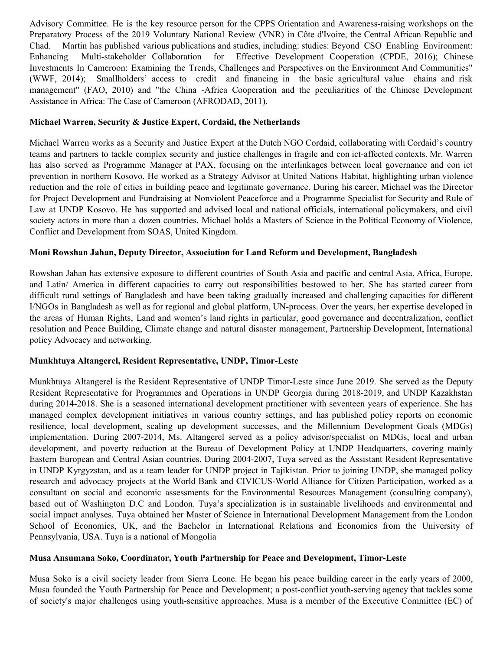Advisory Committee. He is the key resource person for the CPPS Orientation and Awareness-raising workshops on the Preparatory Process of the 2019 Voluntary National Review (VNR) in Côte d'Ivoire, the Central African Republic and Chad. Martin has published various publications and studies, including: studies: Beyond CSO Enabling Environment: Enhancing Multi-stakeholder Collaboration for Effective Development Cooperation (CPDE, 2016); Chinese Investments In Cameroon: Examining the Trends, Challenges and Perspectives on the Environment And Communities" (WWF, 2014); Smallholders' access to credit and financing in the basic agricultural value chains and risk management" (FAO, 2010) and "the China -Africa Cooperation and the peculiarities of the Chinese Development Assistance in Africa: The Case of Cameroon (AFRODAD, 2011).

# **Michael Warren, Security & Justice Expert, Cordaid, the Netherlands**

Michael Warren works as a Security and Justice Expert at the Dutch NGO Cordaid, collaborating with Cordaid's country teams and partners to tackle complex security and justice challenges in fragile and con ict-affected contexts. Mr. Warren has also served as Programme Manager at PAX, focusing on the interlinkages between local governance and con ict prevention in northern Kosovo. He worked as a Strategy Advisor at United Nations Habitat, highlighting urban violence reduction and the role of cities in building peace and legitimate governance. During his career, Michael was the Director for Project Development and Fundraising at Nonviolent Peaceforce and a Programme Specialist for Security and Rule of Law at UNDP Kosovo. He has supported and advised local and national officials, international policymakers, and civil society actors in more than a dozen countries. Michael holds a Masters of Science in the Political Economy of Violence, Conflict and Development from SOAS, United Kingdom.

## **Moni Rowshan Jahan, Deputy Director, Association for Land Reform and Development, Bangladesh**

Rowshan Jahan has extensive exposure to different countries of South Asia and pacific and central Asia, Africa, Europe, and Latin/ America in different capacities to carry out responsibilities bestowed to her. She has started career from difficult rural settings of Bangladesh and have been taking gradually increased and challenging capacities for different I/NGOs in Bangladesh as well as for regional and global platform, UN-process. Over the years, her expertise developed in the areas of Human Rights, Land and women's land rights in particular, good governance and decentralization, conflict resolution and Peace Building, Climate change and natural disaster management, Partnership Development, International policy Advocacy and networking.

# **Munkhtuya Altangerel, Resident Representative, UNDP, Timor-Leste**

Munkhtuya Altangerel is the Resident Representative of UNDP Timor-Leste since June 2019. She served as the Deputy Resident Representative for Programmes and Operations in UNDP Georgia during 2018-2019, and UNDP Kazakhstan during 2014-2018. She is a seasoned international development practitioner with seventeen years of experience. She has managed complex development initiatives in various country settings, and has published policy reports on economic resilience, local development, scaling up development successes, and the Millennium Development Goals (MDGs) implementation. During 2007-2014, Ms. Altangerel served as a policy advisor/specialist on MDGs, local and urban development, and poverty reduction at the Bureau of Development Policy at UNDP Headquarters, covering mainly Eastern European and Central Asian countries. During 2004-2007, Tuya served as the Assistant Resident Representative in UNDP Kyrgyzstan, and as a team leader for UNDP project in Tajikistan. Prior to joining UNDP, she managed policy research and advocacy projects at the World Bank and CIVICUS-World Alliance for Citizen Participation, worked as a consultant on social and economic assessments for the Environmental Resources Management (consulting company), based out of Washington D.C and London. Tuya's specialization is in sustainable livelihoods and environmental and social impact analyses. Tuya obtained her Master of Science in International Development Management from the London School of Economics, UK, and the Bachelor in International Relations and Economics from the University of Pennsylvania, USA. Tuya is a national of Mongolia

# **Musa Ansumana Soko, Coordinator, Youth Partnership for Peace and Development, Timor-Leste**

Musa Soko is a civil society leader from Sierra Leone. He began his peace building career in the early years of 2000, Musa founded the Youth Partnership for Peace and Development; a post-conflict youth-serving agency that tackles some of society's major challenges using youth-sensitive approaches. Musa is a member of the Executive Committee (EC) of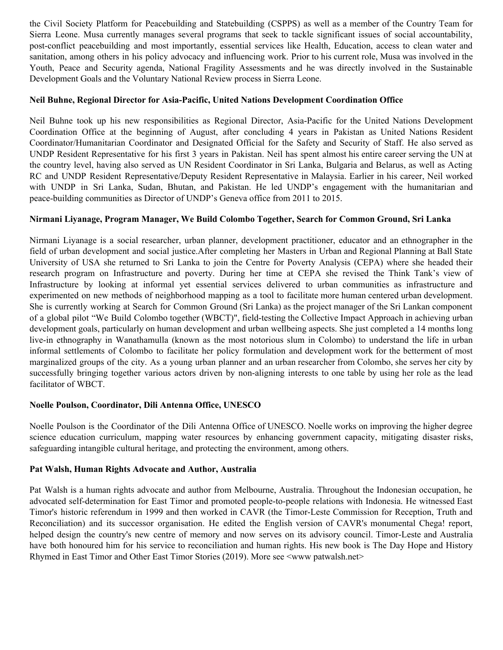the Civil Society Platform for Peacebuilding and Statebuilding (CSPPS) as well as a member of the Country Team for Sierra Leone. Musa currently manages several programs that seek to tackle significant issues of social accountability, post-conflict peacebuilding and most importantly, essential services like Health, Education, access to clean water and sanitation, among others in his policy advocacy and influencing work. Prior to his current role, Musa was involved in the Youth, Peace and Security agenda, National Fragility Assessments and he was directly involved in the Sustainable Development Goals and the Voluntary National Review process in Sierra Leone.

### **Neil Buhne, Regional Director for Asia-Pacific, United Nations Development Coordination Office**

Neil Buhne took up his new responsibilities as Regional Director, Asia-Pacific for the United Nations Development Coordination Office at the beginning of August, after concluding 4 years in Pakistan as United Nations Resident Coordinator/Humanitarian Coordinator and Designated Official for the Safety and Security of Staff. He also served as UNDP Resident Representative for his first 3 years in Pakistan. Neil has spent almost his entire career serving the UN at the country level, having also served as UN Resident Coordinator in Sri Lanka, Bulgaria and Belarus, as well as Acting RC and UNDP Resident Representative/Deputy Resident Representative in Malaysia. Earlier in his career, Neil worked with UNDP in Sri Lanka, Sudan, Bhutan, and Pakistan. He led UNDP's engagement with the humanitarian and peace-building communities as Director of UNDP's Geneva office from 2011 to 2015.

## **Nirmani Liyanage, Program Manager, We Build Colombo Together, Search for Common Ground, Sri Lanka**

Nirmani Liyanage is a social researcher, urban planner, development practitioner, educator and an ethnographer in the field of urban development and social justice.After completing her Masters in Urban and Regional Planning at Ball State University of USA she returned to Sri Lanka to join the Centre for Poverty Analysis (CEPA) where she headed their research program on Infrastructure and poverty. During her time at CEPA she revised the Think Tank's view of Infrastructure by looking at informal yet essential services delivered to urban communities as infrastructure and experimented on new methods of neighborhood mapping as a tool to facilitate more human centered urban development. She is currently working at Search for Common Ground (Sri Lanka) as the project manager of the Sri Lankan component of a global pilot "We Build Colombo together (WBCT)", field-testing the Collective Impact Approach in achieving urban development goals, particularly on human development and urban wellbeing aspects. She just completed a 14 months long live-in ethnography in Wanathamulla (known as the most notorious slum in Colombo) to understand the life in urban informal settlements of Colombo to facilitate her policy formulation and development work for the betterment of most marginalized groups of the city. As a young urban planner and an urban researcher from Colombo, she serves her city by successfully bringing together various actors driven by non-aligning interests to one table by using her role as the lead facilitator of WBCT.

#### **Noelle Poulson, Coordinator, Dili Antenna Office, UNESCO**

Noelle Poulson is the Coordinator of the Dili Antenna Office of UNESCO. Noelle works on improving the higher degree science education curriculum, mapping water resources by enhancing government capacity, mitigating disaster risks, safeguarding intangible cultural heritage, and protecting the environment, among others.

#### **Pat Walsh, Human Rights Advocate and Author, Australia**

Pat Walsh is a human rights advocate and author from Melbourne, Australia. Throughout the Indonesian occupation, he advocated self-determination for East Timor and promoted people-to-people relations with Indonesia. He witnessed East Timor's historic referendum in 1999 and then worked in CAVR (the Timor-Leste Commission for Reception, Truth and Reconciliation) and its successor organisation. He edited the English version of CAVR's monumental Chega! report, helped design the country's new centre of memory and now serves on its advisory council. Timor-Leste and Australia have both honoured him for his service to reconciliation and human rights. His new book is The Day Hope and History Rhymed in East Timor and Other East Timor Stories (2019). More see  $\leq$ www patwalsh.net>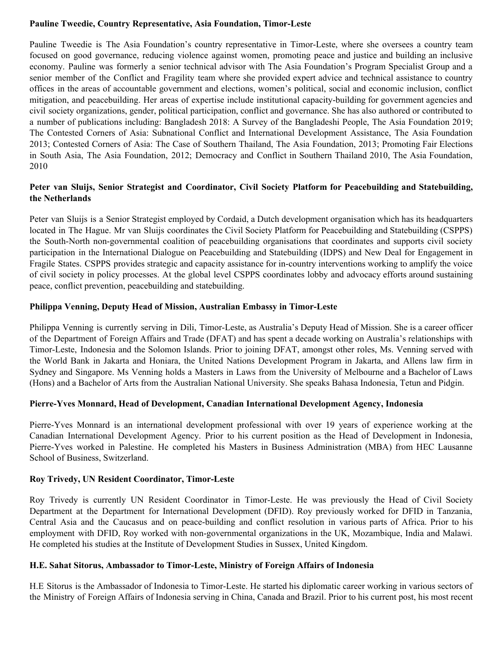## **Pauline Tweedie, Country Representative, Asia Foundation, Timor-Leste**

Pauline Tweedie is The Asia Foundation's country representative in Timor-Leste, where she oversees a country team focused on good governance, reducing violence against women, promoting peace and justice and building an inclusive economy. Pauline was formerly a senior technical advisor with The Asia Foundation's Program Specialist Group and a senior member of the Conflict and Fragility team where she provided expert advice and technical assistance to country offices in the areas of accountable government and elections, women's political, social and economic inclusion, conflict mitigation, and peacebuilding. Her areas of expertise include institutional capacity-building for government agencies and civil society organizations, gender, political participation, conflict and governance. She has also authored or contributed to a number of publications including: Bangladesh 2018: A Survey of the Bangladeshi People, The Asia Foundation 2019; The Contested Corners of Asia: Subnational Conflict and International Development Assistance, The Asia Foundation 2013; Contested Corners of Asia: The Case of Southern Thailand, The Asia Foundation, 2013; Promoting Fair Elections in South Asia, The Asia Foundation, 2012; Democracy and Conflict in Southern Thailand 2010, The Asia Foundation, 2010

# **Peter van Sluijs, Senior Strategist and Coordinator, Civil Society Platform for Peacebuilding and Statebuilding, the Netherlands**

Peter van Sluijs is a Senior Strategist employed by Cordaid, a Dutch development organisation which has its headquarters located in The Hague. Mr van Sluijs coordinates the Civil Society Platform for Peacebuilding and Statebuilding (CSPPS) the South-North non-governmental coalition of peacebuilding organisations that coordinates and supports civil society participation in the International Dialogue on Peacebuilding and Statebuilding (IDPS) and New Deal for Engagement in Fragile States. CSPPS provides strategic and capacity assistance for in-country interventions working to amplify the voice of civil society in policy processes. At the global level CSPPS coordinates lobby and advocacy efforts around sustaining peace, conflict prevention, peacebuilding and statebuilding.

## **Philippa Venning, Deputy Head of Mission, Australian Embassy in Timor-Leste**

Philippa Venning is currently serving in Dili, Timor-Leste, as Australia's Deputy Head of Mission. She is a career officer of the Department of Foreign Affairs and Trade (DFAT) and has spent a decade working on Australia's relationships with Timor-Leste, Indonesia and the Solomon Islands. Prior to joining DFAT, amongst other roles, Ms. Venning served with the World Bank in Jakarta and Honiara, the United Nations Development Program in Jakarta, and Allens law firm in Sydney and Singapore. Ms Venning holds a Masters in Laws from the University of Melbourne and a Bachelor of Laws (Hons) and a Bachelor of Arts from the Australian National University. She speaks Bahasa Indonesia, Tetun and Pidgin.

#### **Pierre-Yves Monnard, Head of Development, Canadian International Development Agency, Indonesia**

Pierre-Yves Monnard is an international development professional with over 19 years of experience working at the Canadian International Development Agency. Prior to his current position as the Head of Development in Indonesia, Pierre-Yves worked in Palestine. He completed his Masters in Business Administration (MBA) from HEC Lausanne School of Business, Switzerland.

#### **Roy Trivedy, UN Resident Coordinator, Timor-Leste**

Roy Trivedy is currently UN Resident Coordinator in Timor-Leste. He was previously the Head of Civil Society Department at the Department for International Development (DFID). Roy previously worked for DFID in Tanzania, Central Asia and the Caucasus and on peace-building and conflict resolution in various parts of Africa. Prior to his employment with DFID, Roy worked with non-governmental organizations in the UK, Mozambique, India and Malawi. He completed his studies at the Institute of Development Studies in Sussex, United Kingdom.

#### **H.E. Sahat Sitorus, Ambassador to Timor-Leste, Ministry of Foreign Affairs of Indonesia**

H.E Sitorus is the Ambassador of Indonesia to Timor-Leste. He started his diplomatic career working in various sectors of the Ministry of Foreign Affairs of Indonesia serving in China, Canada and Brazil. Prior to his current post, his most recent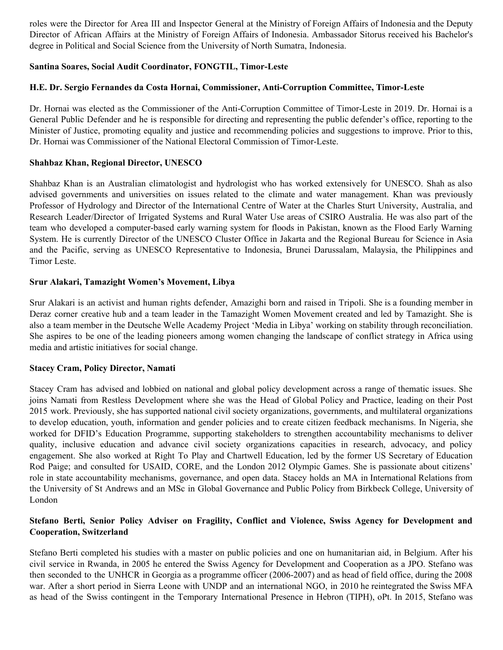roles were the Director for Area III and Inspector General at the Ministry of Foreign Affairs of Indonesia and the Deputy Director of African Affairs at the Ministry of Foreign Affairs of Indonesia. Ambassador Sitorus received his Bachelor's degree in Political and Social Science from the University of North Sumatra, Indonesia.

## **Santina Soares, Social Audit Coordinator, FONGTIL, Timor-Leste**

## **H.E. Dr. Sergio Fernandes da Costa Hornai, Commissioner, Anti-Corruption Committee, Timor-Leste**

Dr. Hornai was elected as the Commissioner of the Anti-Corruption Committee of Timor-Leste in 2019. Dr. Hornai is a General Public Defender and he is responsible for directing and representing the public defender's office, reporting to the Minister of Justice, promoting equality and justice and recommending policies and suggestions to improve. Prior to this, Dr. Hornai was Commissioner of the National Electoral Commission of Timor-Leste.

## **Shahbaz Khan, Regional Director, UNESCO**

Shahbaz Khan is an Australian climatologist and hydrologist who has worked extensively for UNESCO. Shah as also advised governments and universities on issues related to the climate and water management. Khan was previously Professor of Hydrology and Director of the International Centre of Water at the Charles Sturt University, Australia, and Research Leader/Director of Irrigated Systems and Rural Water Use areas of CSIRO Australia. He was also part of the team who developed a computer-based early warning system for floods in Pakistan, known as the Flood Early Warning System. He is currently Director of the UNESCO Cluster Office in Jakarta and the Regional Bureau for Science in Asia and the Pacific, serving as UNESCO Representative to Indonesia, Brunei Darussalam, Malaysia, the Philippines and Timor Leste.

## **Srur Alakari, Tamazight Women's Movement, Libya**

Srur Alakari is an activist and human rights defender, Amazighi born and raised in Tripoli. She is a founding member in Deraz corner creative hub and a team leader in the Tamazight Women Movement created and led by Tamazight. She is also a team member in the Deutsche Welle Academy Project 'Media in Libya' working on stability through reconciliation. She aspires to be one of the leading pioneers among women changing the landscape of conflict strategy in Africa using media and artistic initiatives for social change.

#### **Stacey Cram, Policy Director, Namati**

Stacey Cram has advised and lobbied on national and global policy development across a range of thematic issues. She joins Namati from Restless Development where she was the Head of Global Policy and Practice, leading on their Post 2015 work. Previously, she has supported national civil society organizations, governments, and multilateral organizations to develop education, youth, information and gender policies and to create citizen feedback mechanisms. In Nigeria, she worked for DFID's Education Programme, supporting stakeholders to strengthen accountability mechanisms to deliver quality, inclusive education and advance civil society organizations capacities in research, advocacy, and policy engagement. She also worked at Right To Play and Chartwell Education, led by the former US Secretary of Education Rod Paige; and consulted for USAID, CORE, and the London 2012 Olympic Games. She is passionate about citizens' role in state accountability mechanisms, governance, and open data. Stacey holds an MA in International Relations from the University of St Andrews and an MSc in Global Governance and Public Policy from Birkbeck College, University of London

## **Stefano Berti, Senior Policy Adviser on Fragility, Conflict and Violence, Swiss Agency for Development and Cooperation, Switzerland**

Stefano Berti completed his studies with a master on public policies and one on humanitarian aid, in Belgium. After his civil service in Rwanda, in 2005 he entered the Swiss Agency for Development and Cooperation as a JPO. Stefano was then seconded to the UNHCR in Georgia as a programme officer (2006-2007) and as head of field office, during the 2008 war. After a short period in Sierra Leone with UNDP and an international NGO, in 2010 he reintegrated the Swiss MFA as head of the Swiss contingent in the Temporary International Presence in Hebron (TIPH), oPt. In 2015, Stefano was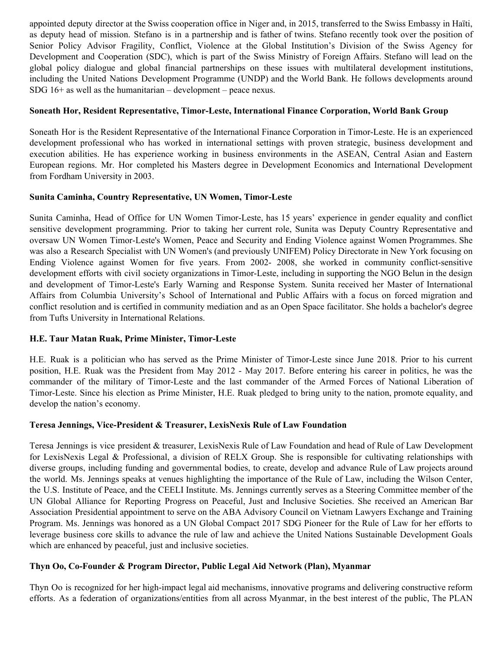appointed deputy director at the Swiss cooperation office in Niger and, in 2015, transferred to the Swiss Embassy in Haïti, as deputy head of mission. Stefano is in a partnership and is father of twins. Stefano recently took over the position of Senior Policy Advisor Fragility, Conflict, Violence at the Global Institution's Division of the Swiss Agency for Development and Cooperation (SDC), which is part of the Swiss Ministry of Foreign Affairs. Stefano will lead on the global policy dialogue and global financial partnerships on these issues with multilateral development institutions, including the United Nations Development Programme (UNDP) and the World Bank. He follows developments around SDG 16+ as well as the humanitarian – development – peace nexus.

# **Soneath Hor, Resident Representative, Timor-Leste, International Finance Corporation, World Bank Group**

Soneath Hor is the Resident Representative of the International Finance Corporation in Timor-Leste. He is an experienced development professional who has worked in international settings with proven strategic, business development and execution abilities. He has experience working in business environments in the ASEAN, Central Asian and Eastern European regions. Mr. Hor completed his Masters degree in Development Economics and International Development from Fordham University in 2003.

#### **Sunita Caminha, Country Representative, UN Women, Timor-Leste**

Sunita Caminha, Head of Office for UN Women Timor-Leste, has 15 years' experience in gender equality and conflict sensitive development programming. Prior to taking her current role, Sunita was Deputy Country Representative and oversaw UN Women Timor-Leste's Women, Peace and Security and Ending Violence against Women Programmes. She was also a Research Specialist with UN Women's (and previously UNIFEM) Policy Directorate in New York focusing on Ending Violence against Women for five years. From 2002- 2008, she worked in community conflict-sensitive development efforts with civil society organizations in Timor-Leste, including in supporting the NGO Belun in the design and development of Timor-Leste's Early Warning and Response System. Sunita received her Master of International Affairs from Columbia University's School of International and Public Affairs with a focus on forced migration and conflict resolution and is certified in community mediation and as an Open Space facilitator. She holds a bachelor's degree from Tufts University in International Relations.

# **H.E. Taur Matan Ruak, Prime Minister, Timor-Leste**

H.E. Ruak is a politician who has served as the Prime Minister of Timor-Leste since June 2018. Prior to his current position, H.E. Ruak was the President from May 2012 - May 2017. Before entering his career in politics, he was the commander of the military of Timor-Leste and the last commander of the Armed Forces of National Liberation of Timor-Leste. Since his election as Prime Minister, H.E. Ruak pledged to bring unity to the nation, promote equality, and develop the nation's economy.

#### **Teresa Jennings, Vice-President & Treasurer, LexisNexis Rule of Law Foundation**

Teresa Jennings is vice president & treasurer, LexisNexis Rule of Law Foundation and head of Rule of Law Development for LexisNexis Legal & Professional, a division of RELX Group. She is responsible for cultivating relationships with diverse groups, including funding and governmental bodies, to create, develop and advance Rule of Law projects around the world. Ms. Jennings speaks at venues highlighting the importance of the Rule of Law, including the Wilson Center, the U.S. Institute of Peace, and the CEELI Institute. Ms. Jennings currently serves as a Steering Committee member of the UN Global Alliance for Reporting Progress on Peaceful, Just and Inclusive Societies. She received an American Bar Association Presidential appointment to serve on the ABA Advisory Council on Vietnam Lawyers Exchange and Training Program. Ms. Jennings was honored as a UN Global Compact 2017 SDG Pioneer for the Rule of Law for her efforts to leverage business core skills to advance the rule of law and achieve the United Nations Sustainable Development Goals which are enhanced by peaceful, just and inclusive societies.

# **Thyn Oo, Co-Founder & Program Director, Public Legal Aid Network (Plan), Myanmar**

Thyn Oo is recognized for her high-impact legal aid mechanisms, innovative programs and delivering constructive reform efforts. As a federation of organizations/entities from all across Myanmar, in the best interest of the public, The PLAN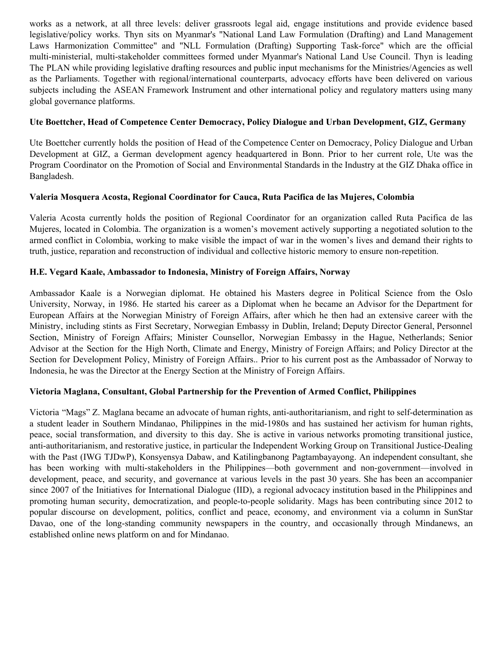works as a network, at all three levels: deliver grassroots legal aid, engage institutions and provide evidence based legislative/policy works. Thyn sits on Myanmar's "National Land Law Formulation (Drafting) and Land Management Laws Harmonization Committee" and "NLL Formulation (Drafting) Supporting Task-force" which are the official multi-ministerial, multi-stakeholder committees formed under Myanmar's National Land Use Council. Thyn is leading The PLAN while providing legislative drafting resources and public input mechanisms for the Ministries/Agencies as well as the Parliaments. Together with regional/international counterparts, advocacy efforts have been delivered on various subjects including the ASEAN Framework Instrument and other international policy and regulatory matters using many global governance platforms.

# **Ute Boettcher, Head of Competence Center Democracy, Policy Dialogue and Urban Development, GIZ, Germany**

Ute Boettcher currently holds the position of Head of the Competence Center on Democracy, Policy Dialogue and Urban Development at GIZ, a German development agency headquartered in Bonn. Prior to her current role, Ute was the Program Coordinator on the Promotion of Social and Environmental Standards in the Industry at the GIZ Dhaka office in Bangladesh.

# **Valeria Mosquera Acosta, Regional Coordinator for Cauca, Ruta Pacifica de las Mujeres, Colombia**

Valeria Acosta currently holds the position of Regional Coordinator for an organization called Ruta Pacifica de las Mujeres, located in Colombia. The organization is a women's movement actively supporting a negotiated solution to the armed conflict in Colombia, working to make visible the impact of war in the women's lives and demand their rights to truth, justice, reparation and reconstruction of individual and collective historic memory to ensure non-repetition.

## **H.E. Vegard Kaale, Ambassador to Indonesia, Ministry of Foreign Affairs, Norway**

Ambassador Kaale is a Norwegian diplomat. He obtained his Masters degree in Political Science from the Oslo University, Norway, in 1986. He started his career as a Diplomat when he became an Advisor for the Department for European Affairs at the Norwegian Ministry of Foreign Affairs, after which he then had an extensive career with the Ministry, including stints as First Secretary, Norwegian Embassy in Dublin, Ireland; Deputy Director General, Personnel Section, Ministry of Foreign Affairs; Minister Counsellor, Norwegian Embassy in the Hague, Netherlands; Senior Advisor at the Section for the High North, Climate and Energy, Ministry of Foreign Affairs; and Policy Director at the Section for Development Policy, Ministry of Foreign Affairs.. Prior to his current post as the Ambassador of Norway to Indonesia, he was the Director at the Energy Section at the Ministry of Foreign Affairs.

# **Victoria Maglana, Consultant, Global Partnership for the Prevention of Armed Conflict, Philippines**

Victoria "Mags" Z. Maglana became an advocate of human rights, anti-authoritarianism, and right to self-determination as a student leader in Southern Mindanao, Philippines in the mid-1980s and has sustained her activism for human rights, peace, social transformation, and diversity to this day. She is active in various networks promoting transitional justice, anti-authoritarianism, and restorative justice, in particular the Independent Working Group on Transitional Justice-Dealing with the Past (IWG TJDwP), Konsyensya Dabaw, and Katilingbanong Pagtambayayong. An independent consultant, she has been working with multi-stakeholders in the Philippines—both government and non-government—involved in development, peace, and security, and governance at various levels in the past 30 years. She has been an accompanier since 2007 of the Initiatives for International Dialogue (IID), a regional advocacy institution based in the Philippines and promoting human security, democratization, and people-to-people solidarity. Mags has been contributing since 2012 to popular discourse on development, politics, conflict and peace, economy, and environment via a column in SunStar Davao, one of the long-standing community newspapers in the country, and occasionally through Mindanews, an established online news platform on and for Mindanao.